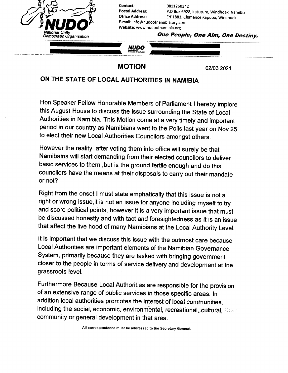|                                                   | Contact:<br><b>Postal Address:</b><br><b>Office Address:</b><br>E-mail: info@nudoofnamibia.org.com<br>Website: www.nudoofnamibia.org | 0811260342<br>P.O Box 6928, katutura, Windhoek, Namibia<br>Erf 1881, Clemence Kapuuo, Windhoek |
|---------------------------------------------------|--------------------------------------------------------------------------------------------------------------------------------------|------------------------------------------------------------------------------------------------|
| <b>National Unity<br/>Democratic Organisation</b> |                                                                                                                                      | One People, One Aim, One Destiny.                                                              |
|                                                   | <b>NUDO</b><br>Nethana Unity<br>Democratic Organization                                                                              |                                                                                                |
|                                                   | <b>MOTION</b>                                                                                                                        | 02/03 2021                                                                                     |

## **ON THE STATE OF LOCAL AUTHORITIES IN NAMIBIA**

Hon Speaker Fellow Honorable Members of Parliament I hereby implore this August House to discuss the issue surrounding the State of Local Authorities in Namibia. This Motion come at a very timely and important period in our country as Namibians went to the Polls last year on Nov 25 to elect their new Local Authorities Councilors amongst others.

However the reality after voting them into office will surely be that Namibains will start demanding from their elected councilors to deliver basic services to them ,but is the ground fertile enough and do this councilors have the means at their disposals to carry out their mandate or not?

Right from the onset I must state emphatically that this issue is not a right or wrong issue,it is not an issue for anyone including myself to try and score political points, however it is a very important issue that must be discussed honestly and with tact and foresightedness as it is an issue that affect the live hood of many Namibians at the Local Authority Level.

It is important that we discuss this issue with the outmost care because Local Authorities are important elements of the Namibian Governance System, primarily because they are tasked with bringing government closer to the people in terms of service delivery and development at the grassroots level.

Furthermore Because Local Authorities are responsible for the provision of an extensive range of public services in those specific areas. In addition local authorities promotes the interest of local communities, including the social, economic, environmental, recreational, cultural,  $\mathcal{U}\phi\psi$ community or general development in that area.

All correspondence must be addressed to the Secretary General.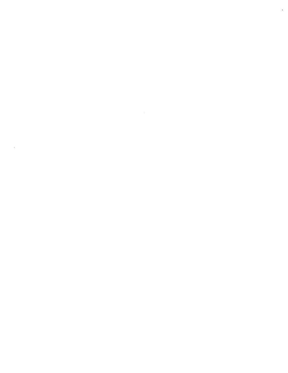$\label{eq:2.1} \frac{1}{\sqrt{2}}\int_{\mathbb{R}^3} \frac{1}{\sqrt{2}}\left(\frac{1}{\sqrt{2}}\right)^2\left(\frac{1}{\sqrt{2}}\right)^2\left(\frac{1}{\sqrt{2}}\right)^2\left(\frac{1}{\sqrt{2}}\right)^2.$ 

 $\mathbb{Z}^{\mathbb{Z}}$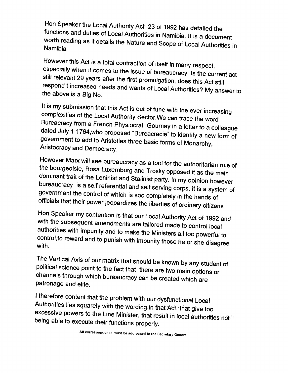Hon Speaker the Local Authority Act 23 of 1992 has detailed the functions and duties of Local Authorities in Namibia. It is a document worth reading as it details the Nature and Scope of Local Authorities in Namibia.

However this Act is a total contraction of itself in many respect, especially when it comes to the issue of bureaucracy. Is the current act still relevant 29 years after the first promulgation, does this Act still respond t increased needs and wants of Local Authorities? My answer to the above is a Big No.

It is my submission that this Act is out of tune with the ever increasing complexities of the Local Authority Sector. We can trace the word Bureacracy from a French Physiocrat Gournay in a letter to a colleague dated July 1 1764,who proposed "Bureacracie" to identify a new form of government to add to Aristotles three basic forms of Monarchy, Aristocracy and Democracy.

However Marx will see bureaucracy as a tool for the authoritarian rule of the bourgeoisie, Rosa Luxemburg and Trosky opposed it as the main dominant trait of the Leninist and Stalinist party. In my opinion however bureaucracy is a self referential and self serving corps, it is a system of government the control of which is soo completely in the hands of officials that their power jeopardizes the liberties of ordinary citizens.

Hon Speaker my contention is that our Local Authority Act of 1992 and with the subsequent amendments are tailored made to control local authorities with impunity and to make the Ministers all too powerful to control,to reward and to punish with impunity those he or she disagree with.

The Vertical Axis of our matrix that should be known by any student of political science point to the fact that there are two main options or channels through which bureaucracy can be created which are patronage and elite.

I therefore content that the problem with our dysfunctional Local Authorities lies squarely with the wording in that Act, that give too excessive powers to the Line Minister, that result in local authorities not being able to execute their functions properly.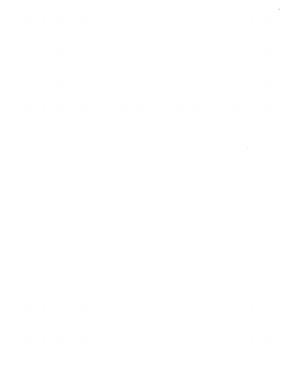$\label{eq:2} \frac{1}{\sqrt{2}}\left(\frac{1}{\sqrt{2}}\right)^{2} \left(\frac{1}{\sqrt{2}}\right)^{2} \left(\frac{1}{\sqrt{2}}\right)^{2}$ 

 $\mathcal{L}^{(1)}$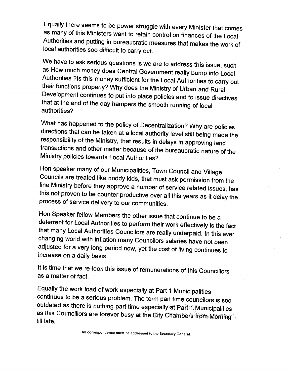Equally there seems to be power struggle with every Minister that comes as many of this Ministers want to retain control on finances of the Local Authorities and putting in bureaucratic measures that makes the work of local authorities soo difficult to carry out.

We have to ask serious questions is we are to address this issue, such as How much money does Central Government really bump into Local Authorities ?Is this money sufficient for the Local Authorities to carry out their functions properly? Why does the Ministry of Urban and Rural Development continues to put into place policies and to issue directives that at the end of the day hampers the smooth running of local authorities?

What has happened to the policy of Decentralization? Why are policies directions that can be taken at a local authority level still being made the responsibility of the Ministry, that results in delays in approving land transactions and other matter because of the bureaucratic nature of the Ministry policies towards Local Authorities?

Hon speaker many of our Municipalities, Town Council and Village Councils are treated like noddy kids, that must ask permission from the line Ministry before they approve a number of service related issues, has this not proven to be counter productive over all this years as it delay the process of service delivery to our communities.

Hon Speaker fellow Members the other issue that continue to be a deterrent for Local Authorities to perform their work effectively is the fact that many Local Authorities Councilors are really underpaid. In this ever changing world with inflation many Councilors salaries have not been adjusted for a very long period now, yet the cost of living continues to increase on a daily basis.

It is time that we re-look this issue of remunerations of this Councillors as a matter of fact.

Equally the work load of work especially at Part 1 Municipalities continues to be a serious problem. The term part time councilors is soo outdated as there is nothing part time especially at Part;1 Municipalities as this Councillors are forever busy at the City Chambers from Morning till late.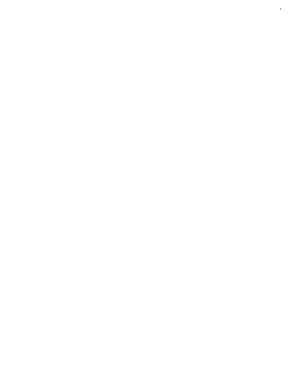$\label{eq:2.1} \frac{1}{\sqrt{2}}\left(\frac{1}{\sqrt{2}}\right)^2\left(\frac{1}{\sqrt{2}}\right)^2\left(\frac{1}{\sqrt{2}}\right)^2\left(\frac{1}{\sqrt{2}}\right)^2\left(\frac{1}{\sqrt{2}}\right)^2\left(\frac{1}{\sqrt{2}}\right)^2.$ 

¥.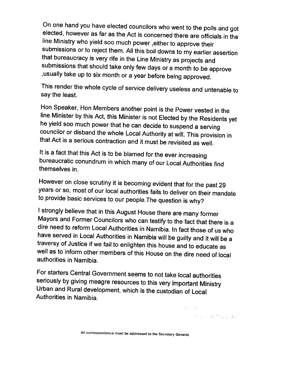On one hand you have elected councilors who went to the polls and got elected, however as far as the Act is concerned there are officials in the line Ministry who yield soo much power ,either to approve their submissions or to reject them. All this boil downs to my earlier assertion that bureaucracy is very rife in the Line Ministry as projects and submissions that should take only few days or a month to be approve ,usually take up to six month or a year before being approved.

This render the whole cycle of service delivery useless and untenable to say the least.

Hon Speaker, Hon Members another point is the Power vested in the line Minister by this Act, this Minister is not Elected by the Residents yet he yield soo much power that he can decide to suspend a serving councilor or disband the whole Local Authority at will. This provision in that Act is a serious contraction and it must be revisited as well.

It is a fact that this Act is to be blamed for the ever increasing bureaucratic conundrum in which many of our Local Authorities find themselves in.

However on close scrutiny it is becoming evident that for the past 29 years or so, most of our local authorities fails to deliver on their mandate to provide basic services to our people.The question is why?

I strongly believe that in this August House there are many former Mayors and Former Councilors who can testify to the fact that there is a dire need to reform Local Authorities in Namibia. In fact those of us who have served in Local Authorities in Namibia will be guilty and it will be a traversy of Justice if we fail to enlighten this house and to educate as well as to inform other members of this House on the dire need of local authorities in Namibia.

For starters Central Government seems to not take local authorities seriously by giving meagre resources to this very important Ministry Urban and Rural development, which is the custodian of Local Authorities in Namibia.

> The Party of Warry of and the state of the Hill of the Control of the Control of the Control of the Control of the Control of the Co

All correspondence must be addressed to the Secretary General.